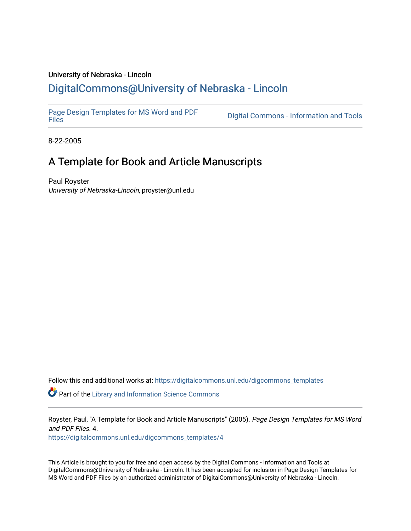## University of Nebraska - Lincoln [DigitalCommons@University of Nebraska - Lincoln](https://digitalcommons.unl.edu/)

[Page Design Templates for MS Word and PDF](https://digitalcommons.unl.edu/digcommons_templates)

Digital Commons - Information and Tools

8-22-2005

# A Template for Book and Article Manuscripts

Paul Royster University of Nebraska-Lincoln, proyster@unl.edu

Follow this and additional works at: [https://digitalcommons.unl.edu/digcommons\\_templates](https://digitalcommons.unl.edu/digcommons_templates?utm_source=digitalcommons.unl.edu%2Fdigcommons_templates%2F4&utm_medium=PDF&utm_campaign=PDFCoverPages) 

**P** Part of the Library and Information Science Commons

Royster, Paul, "A Template for Book and Article Manuscripts" (2005). Page Design Templates for MS Word and PDF Files. 4.

[https://digitalcommons.unl.edu/digcommons\\_templates/4](https://digitalcommons.unl.edu/digcommons_templates/4?utm_source=digitalcommons.unl.edu%2Fdigcommons_templates%2F4&utm_medium=PDF&utm_campaign=PDFCoverPages) 

This Article is brought to you for free and open access by the Digital Commons - Information and Tools at DigitalCommons@University of Nebraska - Lincoln. It has been accepted for inclusion in Page Design Templates for MS Word and PDF Files by an authorized administrator of DigitalCommons@University of Nebraska - Lincoln.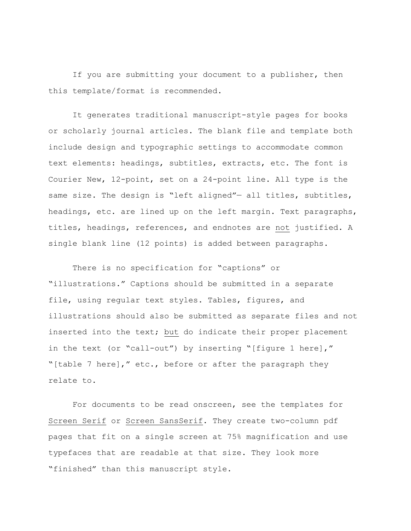If you are submitting your document to a publisher, then this template/format is recommended.

It generates traditional manuscript-style pages for books or scholarly journal articles. The blank file and template both include design and typographic settings to accommodate common text elements: headings, subtitles, extracts, etc. The font is Courier New, 12-point, set on a 24-point line. All type is the same size. The design is "left aligned"- all titles, subtitles, headings, etc. are lined up on the left margin. Text paragraphs, titles, headings, references, and endnotes are not justified. A single blank line (12 points) is added between paragraphs.

There is no specification for "captions" or "illustrations." Captions should be submitted in a separate file, using regular text styles. Tables, figures, and illustrations should also be submitted as separate files and not inserted into the text; but do indicate their proper placement in the text (or "call-out") by inserting "[figure 1 here]," "[table 7 here]," etc., before or after the paragraph they relate to.

For documents to be read onscreen, see the templates for Screen Serif or Screen SansSerif. They create two-column pdf pages that fit on a single screen at 75% magnification and use typefaces that are readable at that size. They look more "finished" than this manuscript style.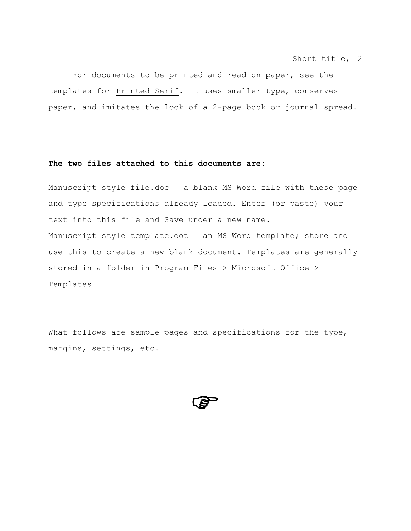For documents to be printed and read on paper, see the templates for Printed Serif. It uses smaller type, conserves paper, and imitates the look of a 2-page book or journal spread.

### **The two files attached to this documents are:**

Manuscript style file.doc = a blank MS Word file with these page and type specifications already loaded. Enter (or paste) your text into this file and Save under a new name. Manuscript style template.dot = an MS Word template; store and use this to create a new blank document. Templates are generally stored in a folder in Program Files > Microsoft Office > Templates

What follows are sample pages and specifications for the type, margins, settings, etc.

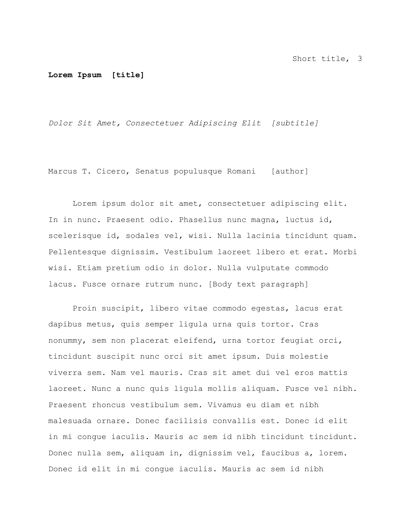#### **Lorem Ipsum [title]**

*Dolor Sit Amet, Consectetuer Adipiscing Elit [subtitle]* 

Marcus T. Cicero, Senatus populusque Romani [author]

Lorem ipsum dolor sit amet, consectetuer adipiscing elit. In in nunc. Praesent odio. Phasellus nunc magna, luctus id, scelerisque id, sodales vel, wisi. Nulla lacinia tincidunt quam. Pellentesque dignissim. Vestibulum laoreet libero et erat. Morbi wisi. Etiam pretium odio in dolor. Nulla vulputate commodo lacus. Fusce ornare rutrum nunc. [Body text paragraph]

Proin suscipit, libero vitae commodo egestas, lacus erat dapibus metus, quis semper ligula urna quis tortor. Cras nonummy, sem non placerat eleifend, urna tortor feugiat orci, tincidunt suscipit nunc orci sit amet ipsum. Duis molestie viverra sem. Nam vel mauris. Cras sit amet dui vel eros mattis laoreet. Nunc a nunc quis ligula mollis aliquam. Fusce vel nibh. Praesent rhoncus vestibulum sem. Vivamus eu diam et nibh malesuada ornare. Donec facilisis convallis est. Donec id elit in mi congue iaculis. Mauris ac sem id nibh tincidunt tincidunt. Donec nulla sem, aliquam in, dignissim vel, faucibus a, lorem. Donec id elit in mi congue iaculis. Mauris ac sem id nibh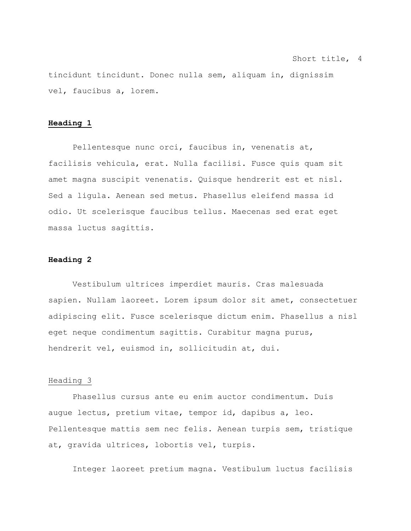tincidunt tincidunt. Donec nulla sem, aliquam in, dignissim vel, faucibus a, lorem.

#### **Heading 1**

Pellentesque nunc orci, faucibus in, venenatis at, facilisis vehicula, erat. Nulla facilisi. Fusce quis quam sit amet magna suscipit venenatis. Quisque hendrerit est et nisl. Sed a ligula. Aenean sed metus. Phasellus eleifend massa id odio. Ut scelerisque faucibus tellus. Maecenas sed erat eget massa luctus sagittis.

#### **Heading 2**

Vestibulum ultrices imperdiet mauris. Cras malesuada sapien. Nullam laoreet. Lorem ipsum dolor sit amet, consectetuer adipiscing elit. Fusce scelerisque dictum enim. Phasellus a nisl eget neque condimentum sagittis. Curabitur magna purus, hendrerit vel, euismod in, sollicitudin at, dui.

#### Heading 3

Phasellus cursus ante eu enim auctor condimentum. Duis augue lectus, pretium vitae, tempor id, dapibus a, leo. Pellentesque mattis sem nec felis. Aenean turpis sem, tristique at, gravida ultrices, lobortis vel, turpis.

Integer laoreet pretium magna. Vestibulum luctus facilisis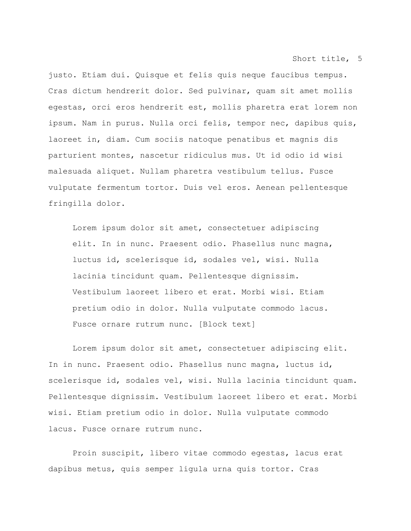justo. Etiam dui. Quisque et felis quis neque faucibus tempus. Cras dictum hendrerit dolor. Sed pulvinar, quam sit amet mollis egestas, orci eros hendrerit est, mollis pharetra erat lorem non ipsum. Nam in purus. Nulla orci felis, tempor nec, dapibus quis, laoreet in, diam. Cum sociis natoque penatibus et magnis dis parturient montes, nascetur ridiculus mus. Ut id odio id wisi malesuada aliquet. Nullam pharetra vestibulum tellus. Fusce vulputate fermentum tortor. Duis vel eros. Aenean pellentesque fringilla dolor.

Lorem ipsum dolor sit amet, consectetuer adipiscing elit. In in nunc. Praesent odio. Phasellus nunc magna, luctus id, scelerisque id, sodales vel, wisi. Nulla lacinia tincidunt quam. Pellentesque dignissim. Vestibulum laoreet libero et erat. Morbi wisi. Etiam pretium odio in dolor. Nulla vulputate commodo lacus. Fusce ornare rutrum nunc. [Block text]

Lorem ipsum dolor sit amet, consectetuer adipiscing elit. In in nunc. Praesent odio. Phasellus nunc magna, luctus id, scelerisque id, sodales vel, wisi. Nulla lacinia tincidunt quam. Pellentesque dignissim. Vestibulum laoreet libero et erat. Morbi wisi. Etiam pretium odio in dolor. Nulla vulputate commodo lacus. Fusce ornare rutrum nunc.

Proin suscipit, libero vitae commodo egestas, lacus erat dapibus metus, quis semper ligula urna quis tortor. Cras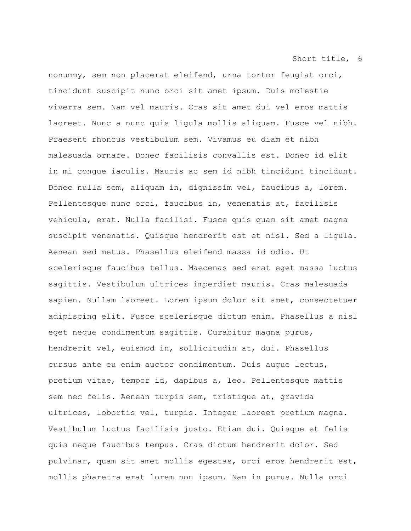nonummy, sem non placerat eleifend, urna tortor feugiat orci, tincidunt suscipit nunc orci sit amet ipsum. Duis molestie viverra sem. Nam vel mauris. Cras sit amet dui vel eros mattis laoreet. Nunc a nunc quis ligula mollis aliquam. Fusce vel nibh. Praesent rhoncus vestibulum sem. Vivamus eu diam et nibh malesuada ornare. Donec facilisis convallis est. Donec id elit in mi congue iaculis. Mauris ac sem id nibh tincidunt tincidunt. Donec nulla sem, aliquam in, dignissim vel, faucibus a, lorem. Pellentesque nunc orci, faucibus in, venenatis at, facilisis vehicula, erat. Nulla facilisi. Fusce quis quam sit amet magna suscipit venenatis. Quisque hendrerit est et nisl. Sed a ligula. Aenean sed metus. Phasellus eleifend massa id odio. Ut scelerisque faucibus tellus. Maecenas sed erat eget massa luctus sagittis. Vestibulum ultrices imperdiet mauris. Cras malesuada sapien. Nullam laoreet. Lorem ipsum dolor sit amet, consectetuer adipiscing elit. Fusce scelerisque dictum enim. Phasellus a nisl eget neque condimentum sagittis. Curabitur magna purus, hendrerit vel, euismod in, sollicitudin at, dui. Phasellus cursus ante eu enim auctor condimentum. Duis augue lectus, pretium vitae, tempor id, dapibus a, leo. Pellentesque mattis sem nec felis. Aenean turpis sem, tristique at, gravida ultrices, lobortis vel, turpis. Integer laoreet pretium magna. Vestibulum luctus facilisis justo. Etiam dui. Quisque et felis quis neque faucibus tempus. Cras dictum hendrerit dolor. Sed pulvinar, quam sit amet mollis egestas, orci eros hendrerit est, mollis pharetra erat lorem non ipsum. Nam in purus. Nulla orci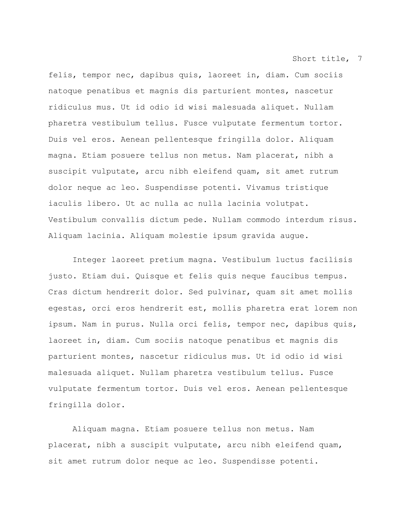felis, tempor nec, dapibus quis, laoreet in, diam. Cum sociis natoque penatibus et magnis dis parturient montes, nascetur ridiculus mus. Ut id odio id wisi malesuada aliquet. Nullam pharetra vestibulum tellus. Fusce vulputate fermentum tortor. Duis vel eros. Aenean pellentesque fringilla dolor. Aliquam magna. Etiam posuere tellus non metus. Nam placerat, nibh a suscipit vulputate, arcu nibh eleifend quam, sit amet rutrum dolor neque ac leo. Suspendisse potenti. Vivamus tristique iaculis libero. Ut ac nulla ac nulla lacinia volutpat. Vestibulum convallis dictum pede. Nullam commodo interdum risus. Aliquam lacinia. Aliquam molestie ipsum gravida augue.

Integer laoreet pretium magna. Vestibulum luctus facilisis justo. Etiam dui. Quisque et felis quis neque faucibus tempus. Cras dictum hendrerit dolor. Sed pulvinar, quam sit amet mollis egestas, orci eros hendrerit est, mollis pharetra erat lorem non ipsum. Nam in purus. Nulla orci felis, tempor nec, dapibus quis, laoreet in, diam. Cum sociis natoque penatibus et magnis dis parturient montes, nascetur ridiculus mus. Ut id odio id wisi malesuada aliquet. Nullam pharetra vestibulum tellus. Fusce vulputate fermentum tortor. Duis vel eros. Aenean pellentesque fringilla dolor.

Aliquam magna. Etiam posuere tellus non metus. Nam placerat, nibh a suscipit vulputate, arcu nibh eleifend quam, sit amet rutrum dolor neque ac leo. Suspendisse potenti.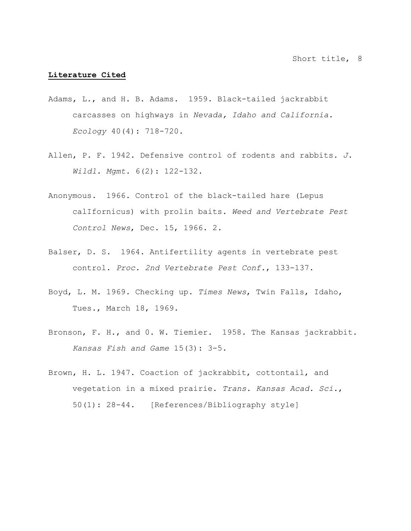#### **Literature Cited**

- Adams, L., and H. B. Adams. 1959. Black-tailed jackrabbit carcasses on highways in *Nevada, Idaho and California. Ecology* 40(4): 718-720.
- Allen, P. F. 1942. Defensive control of rodents and rabbits. *J. Wildl. Mgmt.* 6(2): 122-132.
- Anonymous. 1966. Control of the black-tailed hare (Lepus calIfornicus) with prolin baits. *Weed and Vertebrate Pest Control News*, Dec. 15, 1966. 2.
- Balser, D. S. 1964. Antifertility agents in vertebrate pest control. *Proc. 2nd Vertebrate Pest Conf.*, 133-137.
- Boyd, L. M. 1969. Checking up. *Times News*, Twin Falls, Idaho, Tues., March 18, 1969.
- Bronson, F. H., and 0. W. Tiemier. 1958. The Kansas jackrabbit. *Kansas Fish and Game* 15(3): 3-5.
- Brown, H. L. 1947. Coaction of jackrabbit, cottontail, and vegetation in a mixed prairie. *Trans. Kansas Acad. Sci.*, 50(1): 28-44. [References/Bibliography style]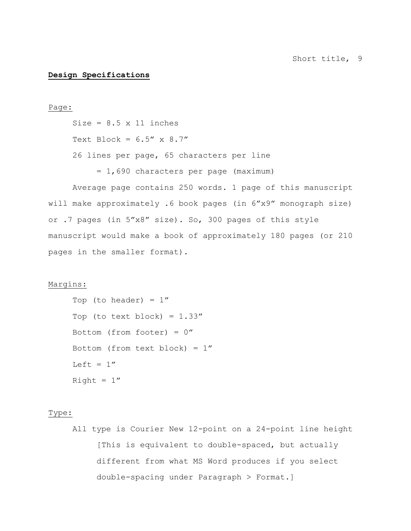#### **Design Specifications**

#### Page:

Size =  $8.5 \times 11$  inches Text Block =  $6.5''$  x  $8.7''$ 26 lines per page, 65 characters per line = 1,690 characters per page (maximum)

 Average page contains 250 words. 1 page of this manuscript will make approximately .6 book pages (in 6"x9" monograph size) or .7 pages (in 5"x8" size). So, 300 pages of this style manuscript would make a book of approximately 180 pages (or 210 pages in the smaller format).

#### Margins:

```
Top (to header) = 1''Top (to text block) = 1.33''Bottom (from footer) = 0''Bottom (from text block) = 1''Left = 1''Right = 1''
```
## Type:

All type is Courier New 12-point on a 24-point line height [This is equivalent to double-spaced, but actually different from what MS Word produces if you select double-spacing under Paragraph > Format.]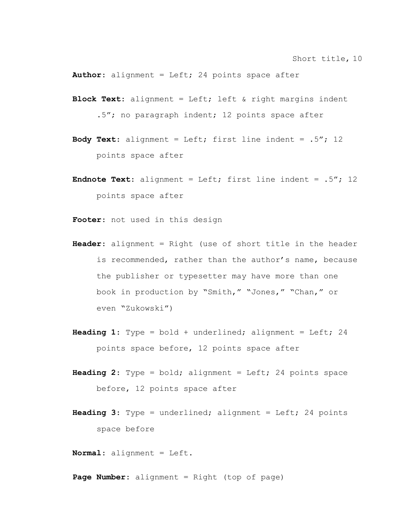**Author**: alignment = Left; 24 points space after

- **Block Text**: alignment = Left; left & right margins indent .5"; no paragraph indent; 12 points space after
- **Body Text**: alignment = Left; first line indent = .5"; 12 points space after
- **Endnote Text**: alignment = Left; first line indent = .5"; 12 points space after
- **Footer**: not used in this design
- **Header**: alignment = Right (use of short title in the header is recommended, rather than the author's name, because the publisher or typesetter may have more than one book in production by "Smith," "Jones," "Chan," or even "Zukowski")
- **Heading 1**: Type = bold + underlined; alignment = Left; 24 points space before, 12 points space after
- **Heading 2**: Type = bold; alignment = Left; 24 points space before, 12 points space after
- **Heading 3**: Type = underlined; alignment = Left; 24 points space before

**Normal**: alignment = Left.

**Page Number**: alignment = Right (top of page)